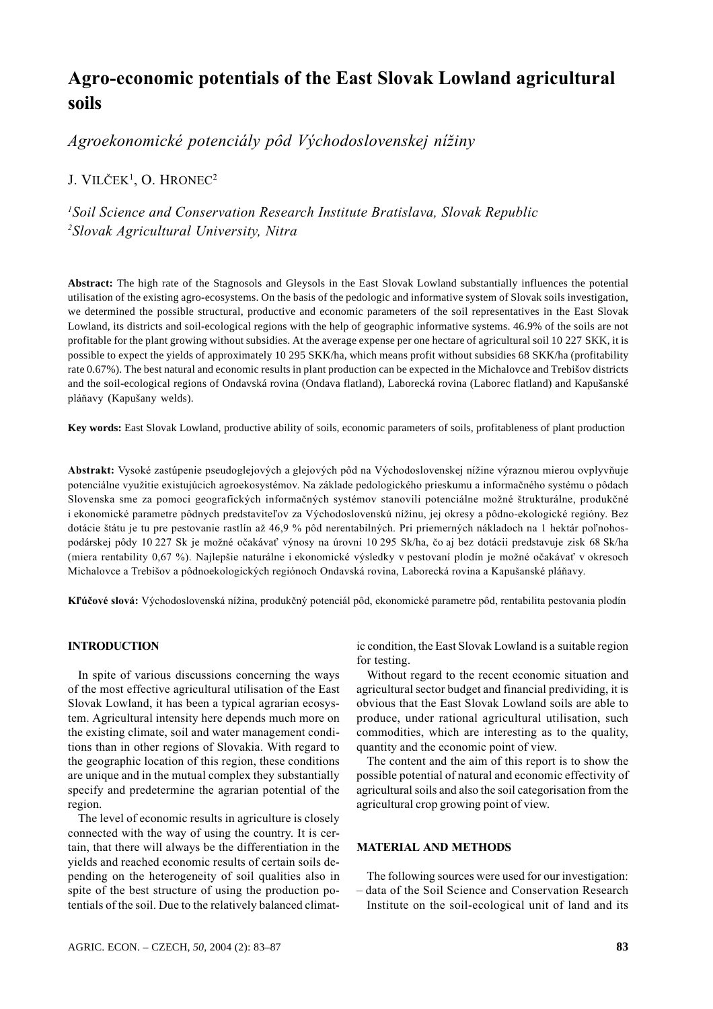# Agro-economic potentials of the East Slovak Lowland agricultural soils

Agroekonomické potenciály pôd Východoslovenskej nížiny

J. VILČEK $^1$ , O. Hronec $^2$ 

 ${}^{1}$ Soil Science and Conservation Research Institute Bratislava, Slovak Republic <sup>2</sup>Slovak Agricultural University, Nitra

**Abstract:** The high rate of the Stagnosols and Gleysols in the East Slovak Lowland substantially influences the potential utilisation of the existing agro-ecosystems. On the basis of the pedologic and informative system of Slovak soils investigation, we determined the possible structural, productive and economic parameters of the soil representatives in the East Slovak Lowland, its districts and soil-ecological regions with the help of geographic informative systems. 46.9% of the soils are not profitable for the plant growing without subsidies. At the average expense per one hectare of agricultural soil 10 227 SKK, it is possible to expect the yields of approximately 10 295 SKK/ha, which means profit without subsidies 68 SKK/ha (profitability rate 0.67%). The best natural and economic results in plant production can be expected in the Michalovce and Trebišov districts and the soil-ecological regions of Ondavská rovina (Ondava flatland), Laborecká rovina (Laborec flatland) and Kapušanské pláňavy (Kapušany welds).

**Key words:** East Slovak Lowland, productive ability of soils, economic parameters of soils, profitableness of plant production

Abstrakt: Vysoké zastúpenie pseudoglejových a glejových pôd na Východoslovenskej nížine výraznou mierou ovplyvňuje potenciálne využitie existujúcich agroekosystémov. Na základe pedologického prieskumu a informačného systému o pôdach Slovenska sme za pomoci geografických informačných systémov stanovili potenciálne možné štrukturálne, produkčné i ekonomické parametre pôdnych predstaviteľov za Východoslovenskú nížinu, jej okresy a pôdno-ekologické regióny. Bez dotácie štátu je tu pre pestovanie rastlín až 46,9 % pôd nerentabilných. Pri priemerných nákladoch na 1 hektár poľnohospodárskej pôdy 10 227 Sk je možné očakávať výnosy na úrovni 10 295 Sk/ha, čo aj bez dotácii predstavuje zisk 68 Sk/ha (miera rentability 0,67 %). Najlepšie naturálne i ekonomické výsledky v pestovaní plodín je možné očakávať v okresoch Michalovce a Trebišov a pôdnoekologických regiónoch Ondavská rovina, Laborecká rovina a Kapušanské pláňavy.

Kľúčové slová: Východoslovenská nížina, produkčný potenciál pôd, ekonomické parametre pôd, rentabilita pestovania plodín

## **INTRODUCTION**

In spite of various discussions concerning the ways of the most effective agricultural utilisation of the East Slovak Lowland, it has been a typical agrarian ecosystem. Agricultural intensity here depends much more on the existing climate, soil and water management conditions than in other regions of Slovakia. With regard to the geographic location of this region, these conditions are unique and in the mutual complex they substantially specify and predetermine the agrarian potential of the region.

The level of economic results in agriculture is closely connected with the way of using the country. It is certain, that there will always be the differentiation in the yields and reached economic results of certain soils depending on the heterogeneity of soil qualities also in spite of the best structure of using the production potentials of the soil. Due to the relatively balanced climatic condition, the East Slovak Lowland is a suitable region for testing.

Without regard to the recent economic situation and agricultural sector budget and financial predividing, it is obvious that the East Slovak Lowland soils are able to produce, under rational agricultural utilisation, such commodities, which are interesting as to the quality, quantity and the economic point of view.

The content and the aim of this report is to show the possible potential of natural and economic effectivity of agricultural soils and also the soil categorisation from the agricultural crop growing point of view.

#### **MATERIAL AND METHODS**

The following sources were used for our investigation: – data of the Soil Science and Conservation Research Institute on the soil-ecological unit of land and its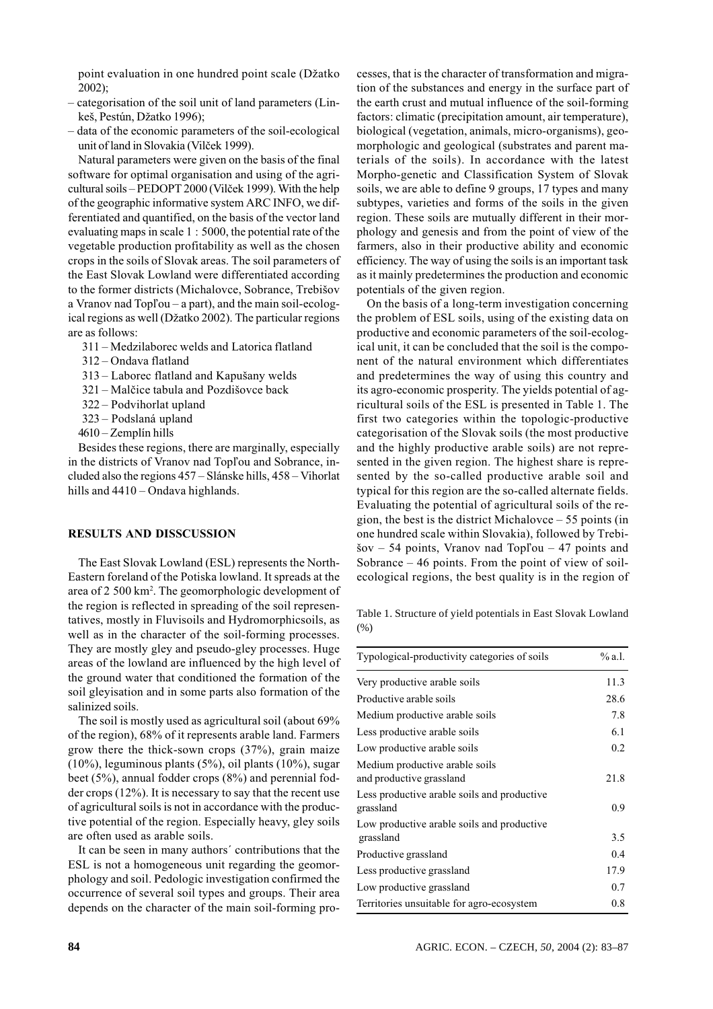point evaluation in one hundred point scale (Džatko  $2002$ :

- categorisation of the soil unit of land parameters (Linkeš. Pestún. Džatko 1996):
- data of the economic parameters of the soil-ecological unit of land in Slovakia (Vilček 1999).

Natural parameters were given on the basis of the final software for optimal organisation and using of the agricultural soils - PEDOPT 2000 (Vilček 1999). With the help of the geographic informative system ARC INFO, we differentiated and quantified, on the basis of the vector land evaluating maps in scale 1 : 5000, the potential rate of the vegetable production profitability as well as the chosen crops in the soils of Slovak areas. The soil parameters of the East Slovak Lowland were differentiated according to the former districts (Michalovce, Sobrance, Trebišov a Vranov nad Topľou – a part), and the main soil-ecological regions as well (Džatko 2002). The particular regions are as follows:

- 311 Medzilaborec welds and Latorica flatland
- 312 Ondava flatland
- 313 Laborec flatland and Kapušany welds
- 321 Malčice tabula and Pozdišovce back
- 322 Podvihorlat upland
- 323 Podslaná upland
- 4610 Zemplín hills

Besides these regions, there are marginally, especially in the districts of Vranov nad Topl'ou and Sobrance, included also the regions 457 – Slánske hills, 458 – Vihorlat hills and 4410 - Ondava highlands.

#### **RESULTS AND DISSCUSSION**

The East Slovak Lowland (ESL) represents the North-Eastern foreland of the Potiska lowland. It spreads at the area of 2 500 km<sup>2</sup>. The geomorphologic development of the region is reflected in spreading of the soil representatives, mostly in Fluvisoils and Hydromorphicsoils, as well as in the character of the soil-forming processes. They are mostly gley and pseudo-gley processes. Huge areas of the lowland are influenced by the high level of the ground water that conditioned the formation of the soil gleyisation and in some parts also formation of the salinized soils.

The soil is mostly used as agricultural soil (about 69% of the region), 68% of it represents arable land. Farmers grow there the thick-sown crops (37%), grain maize  $(10\%)$ , leguminous plants  $(5\%)$ , oil plants  $(10\%)$ , sugar beet  $(5\%)$ , annual fodder crops  $(8\%)$  and perennial fodder crops  $(12\%)$ . It is necessary to say that the recent use of agricultural soils is not in accordance with the productive potential of the region. Especially heavy, gley soils are often used as arable soils.

It can be seen in many authors' contributions that the ESL is not a homogeneous unit regarding the geomorphology and soil. Pedologic investigation confirmed the occurrence of several soil types and groups. Their area depends on the character of the main soil-forming processes, that is the character of transformation and migration of the substances and energy in the surface part of the earth crust and mutual influence of the soil-forming factors: climatic (precipitation amount, air temperature), biological (vegetation, animals, micro-organisms), geomorphologic and geological (substrates and parent materials of the soils). In accordance with the latest Morpho-genetic and Classification System of Slovak soils, we are able to define 9 groups, 17 types and many subtypes, varieties and forms of the soils in the given region. These soils are mutually different in their morphology and genesis and from the point of view of the farmers, also in their productive ability and economic efficiency. The way of using the soils is an important task as it mainly predetermines the production and economic potentials of the given region.

On the basis of a long-term investigation concerning the problem of ESL soils, using of the existing data on productive and economic parameters of the soil-ecological unit, it can be concluded that the soil is the component of the natural environment which differentiates and predetermines the way of using this country and its agro-economic prosperity. The vields potential of agricultural soils of the ESL is presented in Table 1. The first two categories within the topologic-productive categorisation of the Slovak soils (the most productive and the highly productive arable soils) are not represented in the given region. The highest share is represented by the so-called productive arable soil and typical for this region are the so-called alternate fields. Evaluating the potential of agricultural soils of the region, the best is the district Michalove  $-55$  points (in one hundred scale within Slovakia), followed by Trebi- $\text{Sov} - 54$  points, Vranov nad Topľou - 47 points and Sobrance  $-46$  points. From the point of view of soilecological regions, the best quality is in the region of

Table 1. Structure of yield potentials in East Slovak Lowland  $(96)$ 

| Typological-productivity categories of soils               | $\%$ a.l. |
|------------------------------------------------------------|-----------|
| Very productive arable soils                               | 11.3      |
| Productive arable soils                                    | 28.6      |
| Medium productive arable soils                             | 7.8       |
| Less productive arable soils                               | 6.1       |
| Low productive arable soils                                | 0.2       |
| Medium productive arable soils<br>and productive grassland | 21.8      |
| Less productive arable soils and productive<br>grassland   | 0.9       |
| Low productive arable soils and productive<br>grassland    | 3.5       |
| Productive grassland                                       | 0.4       |
| Less productive grassland                                  | 17.9      |
| Low productive grassland                                   | 0.7       |
| Territories unsuitable for agro-ecosystem                  | 0.8       |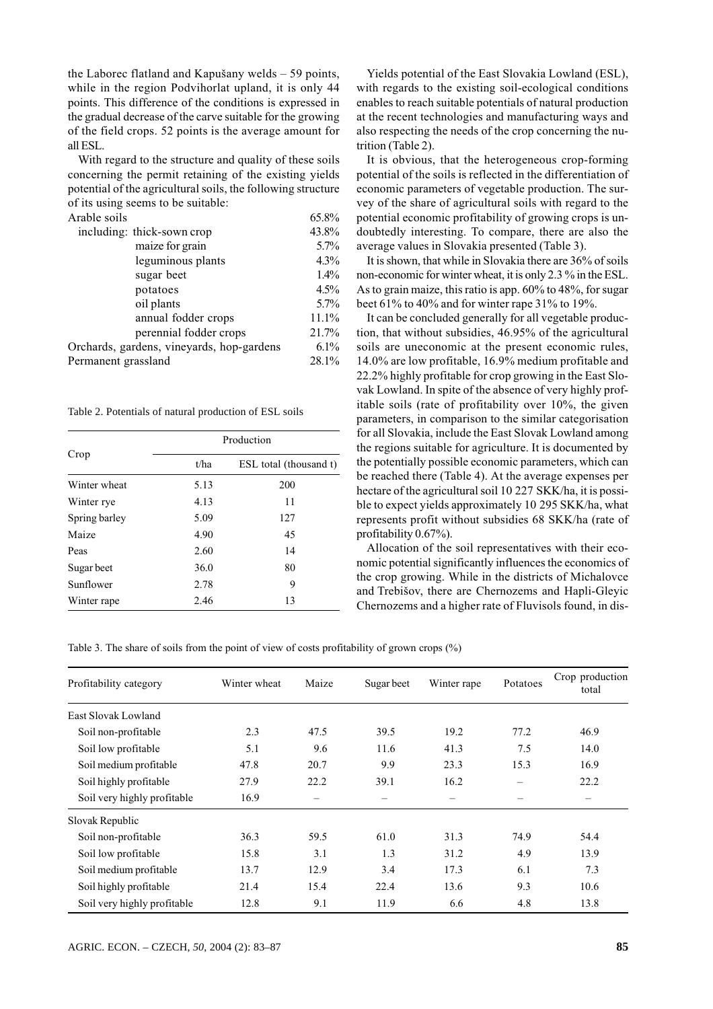the Laborec flatland and Kapušany welds - 59 points, while in the region Podvihorlat upland, it is only 44 points. This difference of the conditions is expressed in the gradual decrease of the carve suitable for the growing of the field crops. 52 points is the average amount for all ESL.

With regard to the structure and quality of these soils concerning the permit retaining of the existing yields potential of the agricultural soils, the following structure of its using seems to be suitable:

| Arable soils        |                                           | 65.8%   |
|---------------------|-------------------------------------------|---------|
|                     | including: thick-sown crop                | 43.8%   |
|                     | maize for grain                           | 5.7%    |
|                     | leguminous plants                         | $4.3\%$ |
|                     | sugar beet                                | 1.4%    |
|                     | potatoes                                  | 4.5%    |
|                     | oil plants                                | $5.7\%$ |
|                     | annual fodder crops                       | 11.1%   |
|                     | perennial fodder crops                    | 21.7%   |
|                     | Orchards, gardens, vineyards, hop-gardens | $6.1\%$ |
| Permanent grassland |                                           | 28.1%   |

Table 2. Potentials of natural production of ESL soils

|               | Production |                        |  |  |
|---------------|------------|------------------------|--|--|
| Crop          | t/ha       | ESL total (thousand t) |  |  |
| Winter wheat  | 5.13       | 200                    |  |  |
| Winter rye    | 4.13       | 11                     |  |  |
| Spring barley | 5.09       | 127                    |  |  |
| Maize         | 4.90       | 45                     |  |  |
| Peas          | 2.60       | 14                     |  |  |
| Sugar beet    | 36.0       | 80                     |  |  |
| Sunflower     | 2.78       | 9                      |  |  |
| Winter rape   | 2.46       | 13                     |  |  |

Yields potential of the East Slovakia Lowland (ESL), with regards to the existing soil-ecological conditions enables to reach suitable potentials of natural production at the recent technologies and manufacturing ways and also respecting the needs of the crop concerning the nutrition (Table 2).

It is obvious, that the heterogeneous crop-forming potential of the soils is reflected in the differentiation of economic parameters of vegetable production. The survey of the share of agricultural soils with regard to the potential economic profitability of growing crops is undoubtedly interesting. To compare, there are also the average values in Slovakia presented (Table 3).

It is shown, that while in Slovakia there are 36% of soils non-economic for winter wheat, it is only 2.3 % in the ESL. As to grain maize, this ratio is app. 60% to 48%, for sugar beet 61% to 40% and for winter rape 31% to 19%.

It can be concluded generally for all vegetable production, that without subsidies, 46.95% of the agricultural soils are uneconomic at the present economic rules, 14.0% are low profitable, 16.9% medium profitable and 22.2% highly profitable for crop growing in the East Slovak Lowland. In spite of the absence of very highly profitable soils (rate of profitability over 10%, the given parameters, in comparison to the similar categorisation for all Slovakia, include the East Slovak Lowland among the regions suitable for agriculture. It is documented by the potentially possible economic parameters, which can be reached there (Table 4). At the average expenses per hectare of the agricultural soil 10 227 SKK/ha, it is possible to expect yields approximately 10 295 SKK/ha, what represents profit without subsidies 68 SKK/ha (rate of profitability 0.67%).

Allocation of the soil representatives with their economic potential significantly influences the economics of the crop growing. While in the districts of Michalovce and Trebišov, there are Chernozems and Hapli-Gleyic Chernozems and a higher rate of Fluvisols found, in dis-

Table 3. The share of soils from the point of view of costs profitability of grown crops  $(\%)$ 

| Profitability category      | Winter wheat | Maize                    | Sugar beet | Winter rape | Potatoes                 | Crop production<br>total |
|-----------------------------|--------------|--------------------------|------------|-------------|--------------------------|--------------------------|
| East Slovak Lowland         |              |                          |            |             |                          |                          |
| Soil non-profitable         | 2.3          | 47.5                     | 39.5       | 19.2        | 77.2                     | 46.9                     |
| Soil low profitable         | 5.1          | 9.6                      | 11.6       | 41.3        | 7.5                      | 14.0                     |
| Soil medium profitable      | 47.8         | 20.7                     | 9.9        | 23.3        | 15.3                     | 16.9                     |
| Soil highly profitable      | 27.9         | 22.2                     | 39.1       | 16.2        | $\overline{\phantom{0}}$ | 22.2                     |
| Soil very highly profitable | 16.9         | $\overline{\phantom{0}}$ |            |             |                          | $\overline{\phantom{0}}$ |
| Slovak Republic             |              |                          |            |             |                          |                          |
| Soil non-profitable         | 36.3         | 59.5                     | 61.0       | 31.3        | 74.9                     | 54.4                     |
| Soil low profitable         | 15.8         | 3.1                      | 1.3        | 31.2        | 4.9                      | 13.9                     |
| Soil medium profitable      | 13.7         | 12.9                     | 3.4        | 17.3        | 6.1                      | 7.3                      |
| Soil highly profitable      | 21.4         | 15.4                     | 22.4       | 13.6        | 9.3                      | 10.6                     |
| Soil very highly profitable | 12.8         | 9.1                      | 11.9       | 6.6         | 4.8                      | 13.8                     |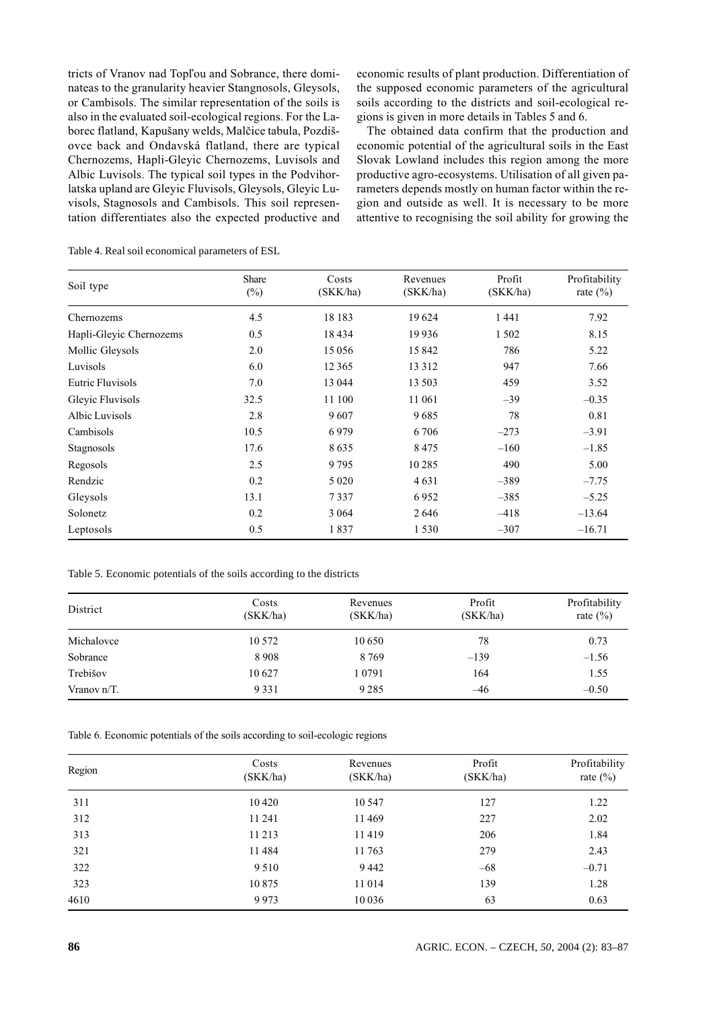tricts of Vranov nad Topľou and Sobrance, there dominateas to the granularity heavier Stangnosols, Gleysols, or Cambisols. The similar representation of the soils is also in the evaluated soil-ecological regions. For the Laborec flatland, Kapušany welds, Malčice tabula, Pozdišovce back and Ondavská flatland, there are typical Chernozems, Hapli-Gleyic Chernozems, Luvisols and Albic Luvisols. The typical soil types in the Podvihorlatska upland are Gleyic Fluvisols, Gleysols, Gleyic Luvisols, Stagnosols and Cambisols. This soil representation differentiates also the expected productive and economic results of plant production. Differentiation of the supposed economic parameters of the agricultural soils according to the districts and soil-ecological regions is given in more details in Tables 5 and 6.

The obtained data confirm that the production and economic potential of the agricultural soils in the East Slovak Lowland includes this region among the more productive agro-ecosystems. Utilisation of all given parameters depends mostly on human factor within the region and outside as well. It is necessary to be more attentive to recognising the soil ability for growing the

| Soil type               | Share<br>$(\%)$ | Costs<br>(SKK/ha) | Revenues<br>(SKK/ha) | Profit<br>(SKK/ha) | Profitability<br>rate $(\% )$ |
|-------------------------|-----------------|-------------------|----------------------|--------------------|-------------------------------|
| Chernozems              | 4.5             | 18 18 3           | 19624                | 1441               | 7.92                          |
| Hapli-Gleyic Chernozems | 0.5             | 18434             | 19936                | 1502               | 8.15                          |
| Mollic Gleysols         | 2.0             | 15 0 56           | 15842                | 786                | 5.22                          |
| Luvisols                | 6.0             | 12 3 65           | 13 3 12              | 947                | 7.66                          |
| Eutric Fluvisols        | 7.0             | 13 044            | 13 503               | 459                | 3.52                          |
| Gleyic Fluvisols        | 32.5            | 11 100            | 11 061               | $-39$              | $-0.35$                       |
| <b>Albic Luvisols</b>   | 2.8             | 9607              | 9685                 | 78                 | 0.81                          |
| Cambisols               | 10.5            | 6979              | 6706                 | $-273$             | $-3.91$                       |
| Stagnosols              | 17.6            | 8635              | 8475                 | $-160$             | $-1.85$                       |
| Regosols                | 2.5             | 9795              | 10285                | 490                | 5.00                          |
| Rendzic                 | 0.2             | 5 0 2 0           | 4631                 | $-389$             | $-7.75$                       |
| Gleysols                | 13.1            | 7337              | 6952                 | $-385$             | $-5.25$                       |
| Solonetz                | 0.2             | 3 0 6 4           | 2646                 | $-418$             | $-13.64$                      |
| Leptosols               | 0.5             | 1837              | 1530                 | $-307$             | $-16.71$                      |

Table 4. Real soil economical parameters of ESL

Table 5. Economic potentials of the soils according to the districts

| District    | Costs<br>(SKK/ha) | Revenues<br>(SKK/ha) | Profit<br>(SKK/ha) | Profitability<br>rate $(\% )$ |
|-------------|-------------------|----------------------|--------------------|-------------------------------|
| Michalovce  | 10 572            | 10 650               | 78                 | 0.73                          |
| Sobrance    | 8908              | 8 7 6 9              | $-139$             | $-1.56$                       |
| Trebišov    | 10 627            | 1 0791               | 164                | 1.55                          |
| Vranov n/T. | 9 3 3 1           | 9 2 8 5              | $-46$              | $-0.50$                       |

Table 6. Economic potentials of the soils according to soil-ecologic regions

| Region | Costs<br>(SKK/ha) | Revenues<br>(SKK/ha) | Profit<br>(SKK/ha) | Profitability<br>rate $(\% )$ |
|--------|-------------------|----------------------|--------------------|-------------------------------|
| 311    | 10420             | 10 547               | 127                | 1.22                          |
| 312    | 11 24 1           | 11469                | 227                | 2.02                          |
| 313    | 11213             | 11419                | 206                | 1.84                          |
| 321    | 11484             | 11763                | 279                | 2.43                          |
| 322    | 9 5 1 0           | 9442                 | $-68$              | $-0.71$                       |
| 323    | 10875             | 11 014               | 139                | 1.28                          |
| 4610   | 9973              | 10 0 36              | 63                 | 0.63                          |